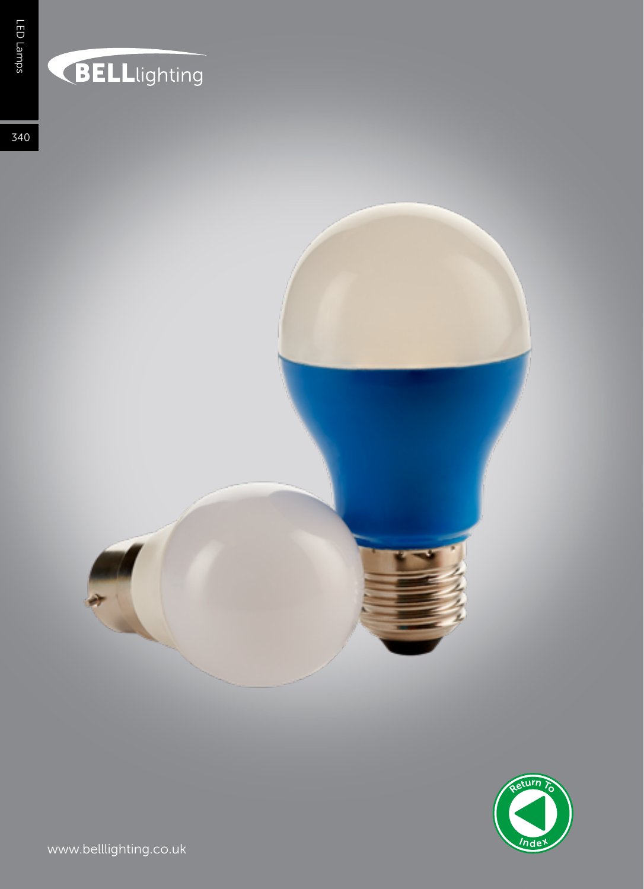## **BELL**lighting

340





www.belllighting.co.uk